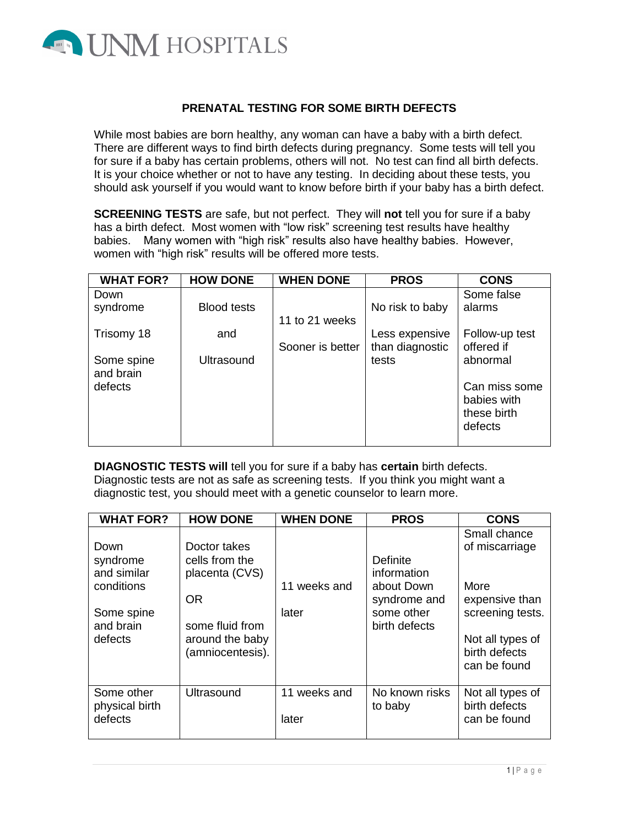

## **PRENATAL TESTING FOR SOME BIRTH DEFECTS**

While most babies are born healthy, any woman can have a baby with a birth defect. There are different ways to find birth defects during pregnancy. Some tests will tell you for sure if a baby has certain problems, others will not. No test can find all birth defects. It is your choice whether or not to have any testing. In deciding about these tests, you should ask yourself if you would want to know before birth if your baby has a birth defect.

**SCREENING TESTS** are safe, but not perfect. They will **not** tell you for sure if a baby has a birth defect. Most women with "low risk" screening test results have healthy babies. Many women with "high risk" results also have healthy babies. However, women with "high risk" results will be offered more tests.

| <b>WHAT FOR?</b> | <b>HOW DONE</b>    | <b>WHEN DONE</b> | <b>PROS</b>     | <b>CONS</b>    |
|------------------|--------------------|------------------|-----------------|----------------|
| Down             |                    |                  |                 | Some false     |
| syndrome         | <b>Blood tests</b> |                  | No risk to baby | alarms         |
|                  |                    | 11 to 21 weeks   |                 |                |
| Trisomy 18       | and                |                  | Less expensive  | Follow-up test |
|                  |                    | Sooner is better | than diagnostic | offered if     |
| Some spine       | Ultrasound         |                  | tests           | abnormal       |
| and brain        |                    |                  |                 |                |
| defects          |                    |                  |                 | Can miss some  |
|                  |                    |                  |                 | babies with    |
|                  |                    |                  |                 | these birth    |
|                  |                    |                  |                 | defects        |
|                  |                    |                  |                 |                |

**DIAGNOSTIC TESTS will** tell you for sure if a baby has **certain** birth defects. Diagnostic tests are not as safe as screening tests. If you think you might want a diagnostic test, you should meet with a genetic counselor to learn more.

| <b>WHAT FOR?</b>                                                                    | <b>HOW DONE</b>                                                                                                         | <b>WHEN DONE</b>      | <b>PROS</b>                                                                                 | <b>CONS</b>                                                                                                                       |
|-------------------------------------------------------------------------------------|-------------------------------------------------------------------------------------------------------------------------|-----------------------|---------------------------------------------------------------------------------------------|-----------------------------------------------------------------------------------------------------------------------------------|
| Down<br>syndrome<br>and similar<br>conditions<br>Some spine<br>and brain<br>defects | Doctor takes<br>cells from the<br>placenta (CVS)<br><b>OR</b><br>some fluid from<br>around the baby<br>(amniocentesis). | 11 weeks and<br>later | <b>Definite</b><br>information<br>about Down<br>syndrome and<br>some other<br>birth defects | Small chance<br>of miscarriage<br>More<br>expensive than<br>screening tests.<br>Not all types of<br>birth defects<br>can be found |
| Some other<br>physical birth<br>defects                                             | <b>Ultrasound</b>                                                                                                       | 11 weeks and<br>later | No known risks<br>to baby                                                                   | Not all types of<br>birth defects<br>can be found                                                                                 |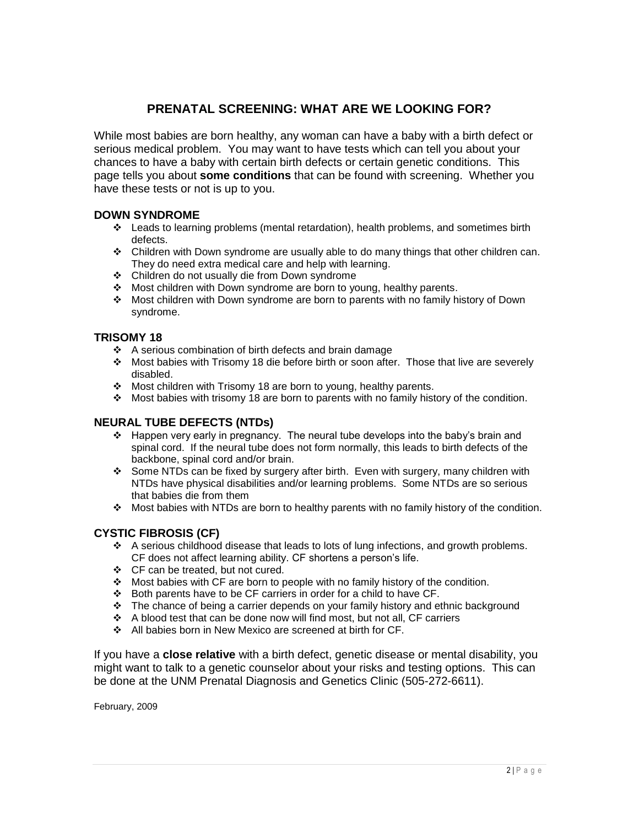# **PRENATAL SCREENING: WHAT ARE WE LOOKING FOR?**

While most babies are born healthy, any woman can have a baby with a birth defect or serious medical problem. You may want to have tests which can tell you about your chances to have a baby with certain birth defects or certain genetic conditions. This page tells you about **some conditions** that can be found with screening. Whether you have these tests or not is up to you.

### **DOWN SYNDROME**

- Leads to learning problems (mental retardation), health problems, and sometimes birth defects.
- \* Children with Down syndrome are usually able to do many things that other children can. They do need extra medical care and help with learning.
- Children do not usually die from Down syndrome
- Most children with Down syndrome are born to young, healthy parents.
- Most children with Down syndrome are born to parents with no family history of Down syndrome.

#### **TRISOMY 18**

- $\div$  A serious combination of birth defects and brain damage
- ◆ Most babies with Trisomy 18 die before birth or soon after. Those that live are severely disabled.
- Most children with Trisomy 18 are born to young, healthy parents.
- $\cdot \cdot$  Most babies with trisomy 18 are born to parents with no family history of the condition.

#### **NEURAL TUBE DEFECTS (NTDs)**

- Happen very early in pregnancy. The neural tube develops into the baby's brain and spinal cord. If the neural tube does not form normally, this leads to birth defects of the backbone, spinal cord and/or brain.
- Some NTDs can be fixed by surgery after birth. Even with surgery, many children with NTDs have physical disabilities and/or learning problems. Some NTDs are so serious that babies die from them
- $\div$  Most babies with NTDs are born to healthy parents with no family history of the condition.

#### **CYSTIC FIBROSIS (CF)**

- A serious childhood disease that leads to lots of lung infections, and growth problems. CF does not affect learning ability. CF shortens a person's life.
- CF can be treated, but not cured.
- Most babies with CF are born to people with no family history of the condition.
- Both parents have to be CF carriers in order for a child to have CF.
- \* The chance of being a carrier depends on your family history and ethnic background
- $\div$  A blood test that can be done now will find most, but not all, CF carriers
- All babies born in New Mexico are screened at birth for CF.

If you have a **close relative** with a birth defect, genetic disease or mental disability, you might want to talk to a genetic counselor about your risks and testing options. This can be done at the UNM Prenatal Diagnosis and Genetics Clinic (505-272-6611).

February, 2009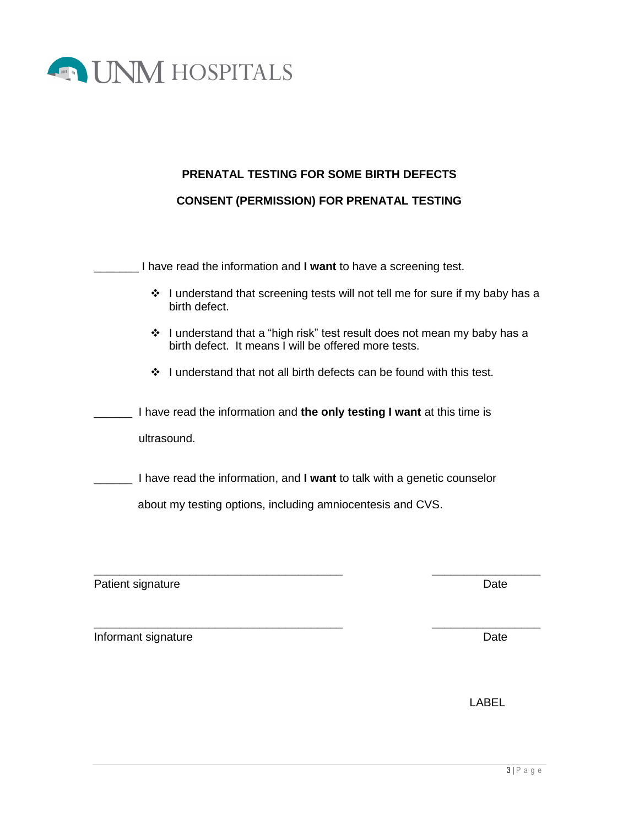

# **PRENATAL TESTING FOR SOME BIRTH DEFECTS CONSENT (PERMISSION) FOR PRENATAL TESTING**

|                                                                                 | I have read the information and <b>I want</b> to have a screening test.                                                           |  |  |  |
|---------------------------------------------------------------------------------|-----------------------------------------------------------------------------------------------------------------------------------|--|--|--|
| ❖                                                                               | I understand that screening tests will not tell me for sure if my baby has a<br>birth defect.                                     |  |  |  |
|                                                                                 | ❖ I understand that a "high risk" test result does not mean my baby has a<br>birth defect. It means I will be offered more tests. |  |  |  |
| ❖                                                                               | I understand that not all birth defects can be found with this test.                                                              |  |  |  |
| I have read the information and the only testing I want at this time is         |                                                                                                                                   |  |  |  |
|                                                                                 | ultrasound.                                                                                                                       |  |  |  |
| I have read the information, and <b>I want</b> to talk with a genetic counselor |                                                                                                                                   |  |  |  |
| about my testing options, including amniocentesis and CVS.                      |                                                                                                                                   |  |  |  |
|                                                                                 |                                                                                                                                   |  |  |  |

**\_\_\_\_\_\_\_\_\_\_\_\_\_\_\_\_\_\_\_\_\_\_\_\_\_\_\_\_\_\_\_\_\_\_\_\_\_\_\_ \_\_\_\_\_\_\_\_\_\_\_\_\_\_\_\_\_**

**\_\_\_\_\_\_\_\_\_\_\_\_\_\_\_\_\_\_\_\_\_\_\_\_\_\_\_\_\_\_\_\_\_\_\_\_\_\_\_ \_\_\_\_\_\_\_\_\_\_\_\_\_\_\_\_\_**

Patient signature Date

Informant signature Date

LABEL